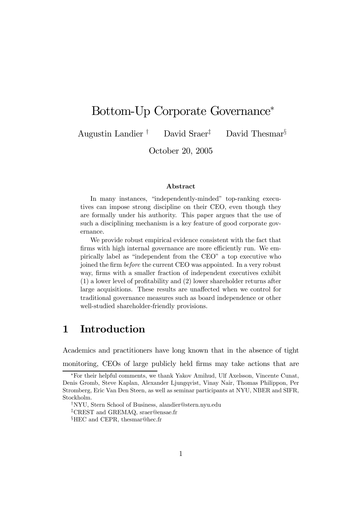## Bottom-Up Corporate Governance<sup>∗</sup>

Augustin Landier † David Sraer‡ David Thesmar§

October 20, 2005

#### Abstract

In many instances, "independently-minded" top-ranking executives can impose strong discipline on their CEO, even though they are formally under his authority. This paper argues that the use of such a disciplining mechanism is a key feature of good corporate governance.

We provide robust empirical evidence consistent with the fact that firms with high internal governance are more efficiently run. We empirically label as "independent from the CEO" a top executive who joined the firm before the current CEO was appointed. In a very robust way, firms with a smaller fraction of independent executives exhibit (1) a lower level of profitability and (2) lower shareholder returns after large acquisitions. These results are unaffected when we control for traditional governance measures such as board independence or other well-studied shareholder-friendly provisions.

## 1 Introduction

Academics and practitioners have long known that in the absence of tight monitoring, CEOs of large publicly held firms may take actions that are

<sup>∗</sup>For their helpful comments, we thank Yakov Amihud, Ulf Axelsson, Vincente Cunat, Denis Gromb, Steve Kaplan, Alexander Ljungqvist, Vinay Nair, Thomas Philippon, Per Stromberg, Eric Van Den Steen, as well as seminar participants at NYU, NBER and SIFR, Stockholm.

<sup>†</sup>NYU, Stern School of Business, alandier@stern.nyu.edu

<sup>‡</sup>CREST and GREMAQ, sraer@ensae.fr

<sup>§</sup>HEC and CEPR, thesmar@hec.fr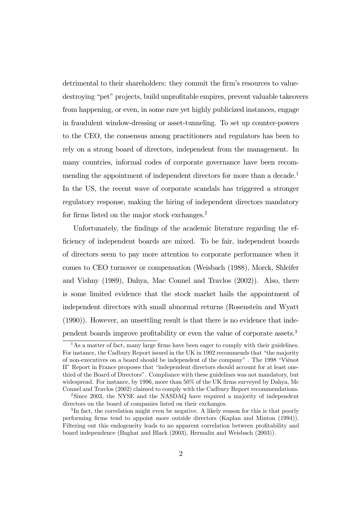detrimental to their shareholders: they commit the firm's resources to valuedestroying "pet" projects, build unprofitable empires, prevent valuable takeovers from happening, or even, in some rare yet highly publicized instances, engage in fraudulent window-dressing or asset-tunneling. To set up counter-powers to the CEO, the consensus among practitioners and regulators has been to rely on a strong board of directors, independent from the management. In many countries, informal codes of corporate governance have been recommending the appointment of independent directors for more than a decade.<sup>1</sup> In the US, the recent wave of corporate scandals has triggered a stronger regulatory response, making the hiring of independent directors mandatory for firms listed on the major stock exchanges.<sup>2</sup>

Unfortunately, the findings of the academic literature regarding the efficiency of independent boards are mixed. To be fair, independent boards of directors seem to pay more attention to corporate performance when it comes to CEO turnover or compensation (Weisbach (1988), Morck, Shleifer and Vishny (1989), Dahya, Mac Connel and Travlos (2002)). Also, there is some limited evidence that the stock market hails the appointment of independent directors with small abnormal returns (Rosenstein and Wyatt (1990)). However, an unsettling result is that there is no evidence that independent boards improve profitability or even the value of corporate assets.3

 $<sup>1</sup>$ As a matter of fact, many large firms have been eager to comply with their guidelines.</sup> For instance, the Cadbury Report issued in the UK in 1992 recommends that "the majority of non-executives on a board should be independent of the company" . The 1998 "Viénot II" Report in France proposes that "independent directors should account for at least onethird of the Board of Directors". Compliance with these guidelines was not mandatory, but widespread. For instance, by 1996, more than 50% of the UK firms surveyed by Dahya, Mc Connel and Travlos (2002) claimed to comply with the Cadbury Report recommendations.

<sup>2</sup>Since 2003, the NYSE and the NASDAQ have required a majority of independent directors on the board of companies listed on their exchanges.

<sup>3</sup> In fact, the correlation might even be negative. A likely reason for this is that poorly performing firms tend to appoint more outside directors (Kaplan and Minton (1994)). Filtering out this endogeneity leads to no apparent correlation between profitability and board independence (Baghat and Black (2003), Hermalin and Weisbach (2003)).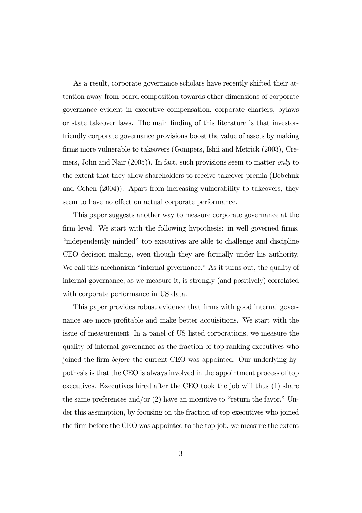As a result, corporate governance scholars have recently shifted their attention away from board composition towards other dimensions of corporate governance evident in executive compensation, corporate charters, bylaws or state takeover laws. The main finding of this literature is that investorfriendly corporate governance provisions boost the value of assets by making firms more vulnerable to takeovers (Gompers, Ishii and Metrick (2003), Cremers, John and Nair (2005)). In fact, such provisions seem to matter *only* to the extent that they allow shareholders to receive takeover premia (Bebchuk and Cohen (2004)). Apart from increasing vulnerability to takeovers, they seem to have no effect on actual corporate performance.

This paper suggests another way to measure corporate governance at the firm level. We start with the following hypothesis: in well governed firms, "independently minded" top executives are able to challenge and discipline CEO decision making, even though they are formally under his authority. We call this mechanism "internal governance." As it turns out, the quality of internal governance, as we measure it, is strongly (and positively) correlated with corporate performance in US data.

This paper provides robust evidence that firms with good internal governance are more profitable and make better acquisitions. We start with the issue of measurement. In a panel of US listed corporations, we measure the quality of internal governance as the fraction of top-ranking executives who joined the firm before the current CEO was appointed. Our underlying hypothesis is that the CEO is always involved in the appointment process of top executives. Executives hired after the CEO took the job will thus (1) share the same preferences and/or  $(2)$  have an incentive to "return the favor." Under this assumption, by focusing on the fraction of top executives who joined the firm before the CEO was appointed to the top job, we measure the extent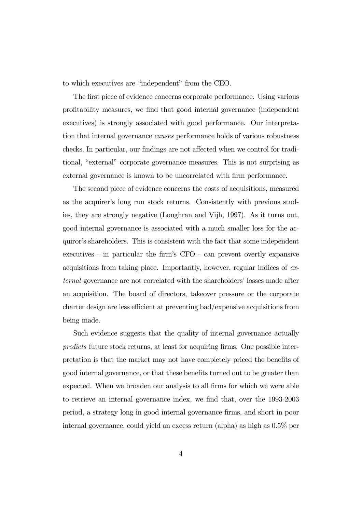to which executives are "independent" from the CEO.

The first piece of evidence concerns corporate performance. Using various profitability measures, we find that good internal governance (independent executives) is strongly associated with good performance. Our interpretation that internal governance causes performance holds of various robustness checks. In particular, our findings are not affected when we control for traditional, "external" corporate governance measures. This is not surprising as external governance is known to be uncorrelated with firm performance.

The second piece of evidence concerns the costs of acquisitions, measured as the acquirer's long run stock returns. Consistently with previous studies, they are strongly negative (Loughran and Vijh, 1997). As it turns out, good internal governance is associated with a much smaller loss for the acquiror's shareholders. This is consistent with the fact that some independent executives - in particular the firm's CFO - can prevent overtly expansive acquisitions from taking place. Importantly, however, regular indices of external governance are not correlated with the shareholders' losses made after an acquisition. The board of directors, takeover pressure or the corporate charter design are less efficient at preventing bad/expensive acquisitions from being made.

Such evidence suggests that the quality of internal governance actually predicts future stock returns, at least for acquiring firms. One possible interpretation is that the market may not have completely priced the benefits of good internal governance, or that these benefits turned out to be greater than expected. When we broaden our analysis to all firms for which we were able to retrieve an internal governance index, we find that, over the 1993-2003 period, a strategy long in good internal governance firms, and short in poor internal governance, could yield an excess return (alpha) as high as 0.5% per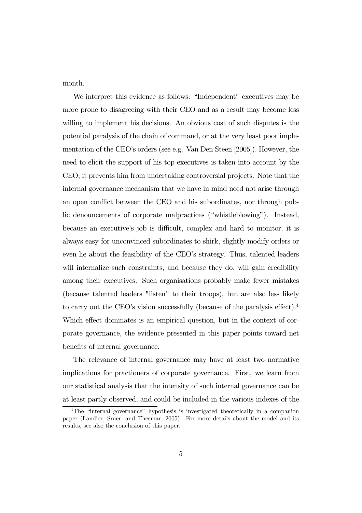month.

We interpret this evidence as follows: "Independent" executives may be more prone to disagreeing with their CEO and as a result may become less willing to implement his decisions. An obvious cost of such disputes is the potential paralysis of the chain of command, or at the very least poor implementation of the CEO's orders (see e.g. Van Den Steen [2005]). However, the need to elicit the support of his top executives is taken into account by the CEO; it prevents him from undertaking controversial projects. Note that the internal governance mechanism that we have in mind need not arise through an open conflict between the CEO and his subordinates, nor through public denouncements of corporate malpractices ("whistleblowing"). Instead, because an executive's job is difficult, complex and hard to monitor, it is always easy for unconvinced subordinates to shirk, slightly modify orders or even lie about the feasibility of the CEO's strategy. Thus, talented leaders will internalize such constraints, and because they do, will gain credibility among their executives. Such organisations probably make fewer mistakes (because talented leaders "listen" to their troops), but are also less likely to carry out the CEO's vision successfully (because of the paralysis effect).4 Which effect dominates is an empirical question, but in the context of corporate governance, the evidence presented in this paper points toward net benefits of internal governance.

The relevance of internal governance may have at least two normative implications for practioners of corporate governance. First, we learn from our statistical analysis that the intensity of such internal governance can be at least partly observed, and could be included in the various indexes of the

<sup>4</sup>The "internal governance" hypothesis is investigated theoretically in a companion paper (Landier, Sraer, and Thesmar, 2005). For more details about the model and its results, see also the conclusion of this paper.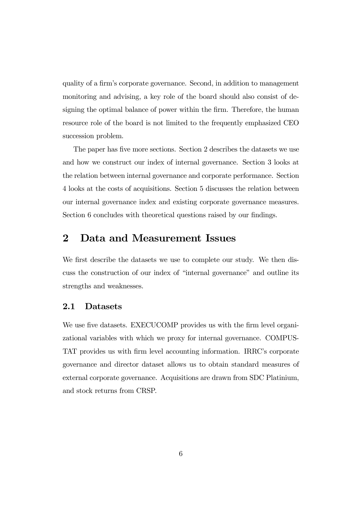quality of a firm's corporate governance. Second, in addition to management monitoring and advising, a key role of the board should also consist of designing the optimal balance of power within the firm. Therefore, the human resource role of the board is not limited to the frequently emphasized CEO succession problem.

The paper has five more sections. Section 2 describes the datasets we use and how we construct our index of internal governance. Section 3 looks at the relation between internal governance and corporate performance. Section 4 looks at the costs of acquisitions. Section 5 discusses the relation between our internal governance index and existing corporate governance measures. Section 6 concludes with theoretical questions raised by our findings.

### 2 Data and Measurement Issues

We first describe the datasets we use to complete our study. We then discuss the construction of our index of "internal governance" and outline its strengths and weaknesses.

### 2.1 Datasets

We use five datasets. EXECUCOMP provides us with the firm level organizational variables with which we proxy for internal governance. COMPUS-TAT provides us with firm level accounting information. IRRC's corporate governance and director dataset allows us to obtain standard measures of external corporate governance. Acquisitions are drawn from SDC Platinium, and stock returns from CRSP.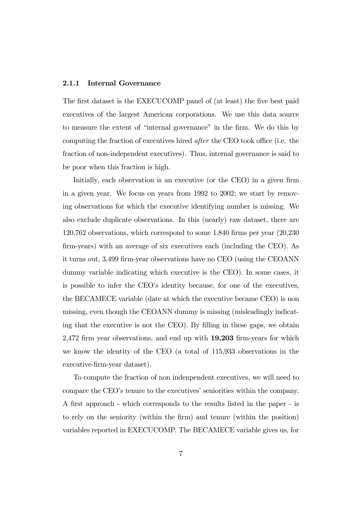#### 2.1.1 Internal Governance

The first dataset is the EXECUCOMP panel of (at least) the five best paid executives of the largest American corporations. We use this data source to measure the extent of "internal governance" in the firm. We do this by computing the fraction of executives hired after the CEO took office (i.e. the fraction of non-independent executives). Thus, internal governance is said to be poor when this fraction is high.

Initially, each observation is an executive (or the CEO) in a given firm in a given year. We focus on years from 1992 to 2002; we start by removing observations for which the executive identifying number is missing. We also exclude duplicate observations. In this (nearly) raw dataset, there are 120,762 observations, which correspond to some 1,840 firms per year (20,230 firm-years) with an average of six executives each (including the CEO). As it turns out, 3,499 firm-year observations have no CEO (using the CEOANN dummy variable indicating which executive is the CEO). In some cases, it is possible to infer the CEO's identity because, for one of the executives, the BECAMECE variable (date at which the executive became CEO) is non missing, even though the CEOANN dummy is missing (misleadingly indicating that the executive is not the CEO). By filling in these gaps, we obtain 2,472 firm year observations, and end up with 19,203 firm-years for which we know the identity of the CEO (a total of 115,933 observations in the executive-firm-year dataset).

To compute the fraction of non indenpendent executives, we will need to compare the CEO's tenure to the executives' seniorities within the company. A first approach - which corresponds to the results listed in the paper - is to rely on the seniority (within the firm) and tenure (within the position) variables reported in EXECUCOMP. The BECAMECE variable gives us, for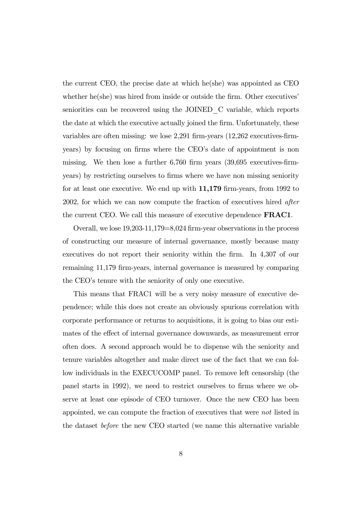the current CEO, the precise date at which he(she) was appointed as CEO whether he(she) was hired from inside or outside the firm. Other executives' seniorities can be recovered using the JOINED\_C variable, which reports the date at which the executive actually joined the firm. Unfortunately, these variables are often missing: we lose 2,291 firm-years (12,262 executives-firmyears) by focusing on firms where the CEO's date of appointment is non missing. We then lose a further 6,760 firm years (39,695 executives-firmyears) by restricting ourselves to firms where we have non missing seniority for at least one executive. We end up with 11,179 firm-years, from 1992 to 2002, for which we can now compute the fraction of executives hired after the current CEO. We call this measure of executive dependence FRAC1.

Overall, we lose 19,203-11,179=8,024 firm-year observations in the process of constructing our measure of internal governance, mostly because many executives do not report their seniority within the firm. In 4,307 of our remaining 11,179 firm-years, internal governance is measured by comparing the CEO's tenure with the seniority of only one executive.

This means that FRAC1 will be a very noisy measure of executive dependence; while this does not create an obviously spurious correlation with corporate performance or returns to acquisitions, it is going to bias our estimates of the effect of internal governance downwards, as measurement error often does. A second approach would be to dispense wih the seniority and tenure variables altogether and make direct use of the fact that we can follow individuals in the EXECUCOMP panel. To remove left censorship (the panel starts in 1992), we need to restrict ourselves to firms where we observe at least one episode of CEO turnover. Once the new CEO has been appointed, we can compute the fraction of executives that were not listed in the dataset before the new CEO started (we name this alternative variable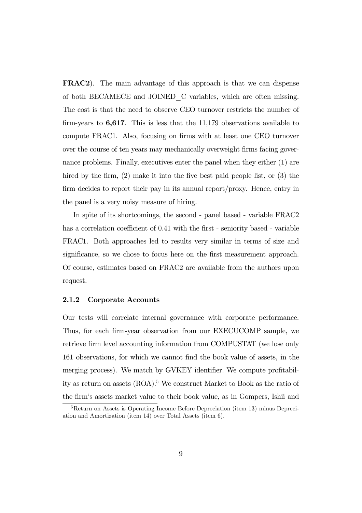FRAC2). The main advantage of this approach is that we can dispense of both BECAMECE and JOINED\_C variables, which are often missing. The cost is that the need to observe CEO turnover restricts the number of firm-years to 6,617. This is less that the 11,179 observations available to compute FRAC1. Also, focusing on firms with at least one CEO turnover over the course of ten years may mechanically overweight firms facing governance problems. Finally, executives enter the panel when they either (1) are hired by the firm, (2) make it into the five best paid people list, or (3) the firm decides to report their pay in its annual report/proxy. Hence, entry in the panel is a very noisy measure of hiring.

In spite of its shortcomings, the second - panel based - variable FRAC2 has a correlation coefficient of 0.41 with the first - seniority based - variable FRAC1. Both approaches led to results very similar in terms of size and significance, so we chose to focus here on the first measurement approach. Of course, estimates based on FRAC2 are available from the authors upon request.

### 2.1.2 Corporate Accounts

Our tests will correlate internal governance with corporate performance. Thus, for each firm-year observation from our EXECUCOMP sample, we retrieve firm level accounting information from COMPUSTAT (we lose only 161 observations, for which we cannot find the book value of assets, in the merging process). We match by GVKEY identifier. We compute profitability as return on assets (ROA).5 We construct Market to Book as the ratio of the firm's assets market value to their book value, as in Gompers, Ishii and

 ${}^{5}$ Return on Assets is Operating Income Before Depreciation (item 13) minus Depreciation and Amortization (item 14) over Total Assets (item 6).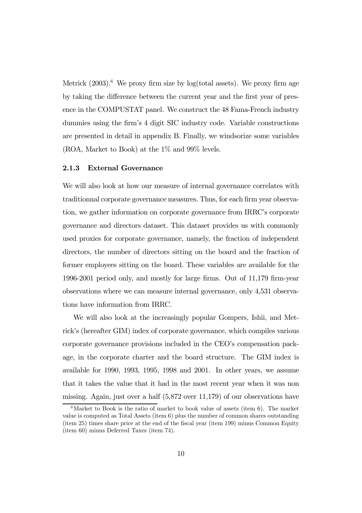Metrick  $(2003)$ .<sup>6</sup> We proxy firm size by log(total assets). We proxy firm age by taking the difference between the current year and the first year of presence in the COMPUSTAT panel. We construct the 48 Fama-French industry dummies using the firm's 4 digit SIC industry code. Variable constructions are presented in detail in appendix B. Finally, we windsorize some variables (ROA, Market to Book) at the 1% and 99% levels.

### 2.1.3 External Governance

We will also look at how our measure of internal governance correlates with traditionnal corporate governance measures. Thus, for each firm year observation, we gather information on corporate governance from IRRC's corporate governance and directors dataset. This dataset provides us with commonly used proxies for corporate governance, namely, the fraction of independent directors, the number of directors sitting on the board and the fraction of former employees sitting on the board. These variables are available for the 1996-2001 period only, and mostly for large firms. Out of 11,179 firm-year observations where we can measure internal governance, only 4,531 observations have information from IRRC.

We will also look at the increasingly popular Gompers, Ishii, and Metrick's (hereafter GIM) index of corporate governance, which compiles various corporate governance provisions included in the CEO's compensation package, in the corporate charter and the board structure. The GIM index is available for 1990, 1993, 1995, 1998 and 2001. In other years, we assume that it takes the value that it had in the most recent year when it was non missing. Again, just over a half (5,872 over 11,179) of our observations have

 $6$ Market to Book is the ratio of market to book value of assets (item 6). The market value is computed as Total Assets (item 6) plus the number of common shares outstanding (item 25) times share price at the end of the fiscal year (item 199) minus Common Equity (item 60) minus Deferred Taxes (item 74).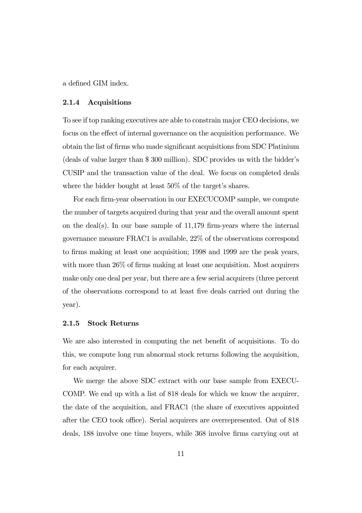a defined GIM index.

#### 2.1.4 Acquisitions

To see if top ranking executives are able to constrain major CEO decisions, we focus on the effect of internal governance on the acquisition performance. We obtain the list of firms who made significant acquisitions from SDC Platinium (deals of value larger than \$ 300 million). SDC provides us with the bidder's CUSIP and the transaction value of the deal. We focus on completed deals where the bidder bought at least 50% of the target's shares.

For each firm-year observation in our EXECUCOMP sample, we compute the number of targets acquired during that year and the overall amount spent on the deal(s). In our base sample of  $11,179$  firm-years where the internal governance measure FRAC1 is available, 22% of the observations correspond to firms making at least one acquisition; 1998 and 1999 are the peak years, with more than 26% of firms making at least one acquisition. Most acquirers make only one deal per year, but there are a few serial acquirers (three percent of the observations correspond to at least five deals carried out during the year).

### 2.1.5 Stock Returns

We are also interested in computing the net benefit of acquisitions. To do this, we compute long run abnormal stock returns following the acquisition, for each acquirer.

We merge the above SDC extract with our base sample from EXECU-COMP. We end up with a list of 818 deals for which we know the acquirer, the date of the acquisition, and FRAC1 (the share of executives appointed after the CEO took office). Serial acquirers are overrepresented. Out of 818 deals, 188 involve one time buyers, while 368 involve firms carrying out at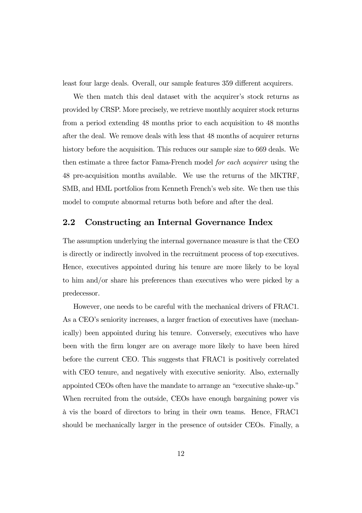least four large deals. Overall, our sample features 359 different acquirers.

We then match this deal dataset with the acquirer's stock returns as provided by CRSP. More precisely, we retrieve monthly acquirer stock returns from a period extending 48 months prior to each acquisition to 48 months after the deal. We remove deals with less that 48 months of acquirer returns history before the acquisition. This reduces our sample size to 669 deals. We then estimate a three factor Fama-French model for each acquirer using the 48 pre-acquisition months available. We use the returns of the MKTRF, SMB, and HML portfolios from Kenneth French's web site. We then use this model to compute abnormal returns both before and after the deal.

### 2.2 Constructing an Internal Governance Index

The assumption underlying the internal governance measure is that the CEO is directly or indirectly involved in the recruitment process of top executives. Hence, executives appointed during his tenure are more likely to be loyal to him and/or share his preferences than executives who were picked by a predecessor.

However, one needs to be careful with the mechanical drivers of FRAC1. As a CEO's seniority increases, a larger fraction of executives have (mechanically) been appointed during his tenure. Conversely, executives who have been with the firm longer are on average more likely to have been hired before the current CEO. This suggests that FRAC1 is positively correlated with CEO tenure, and negatively with executive seniority. Also, externally appointed CEOs often have the mandate to arrange an "executive shake-up." When recruited from the outside, CEOs have enough bargaining power vis à vis the board of directors to bring in their own teams. Hence, FRAC1 should be mechanically larger in the presence of outsider CEOs. Finally, a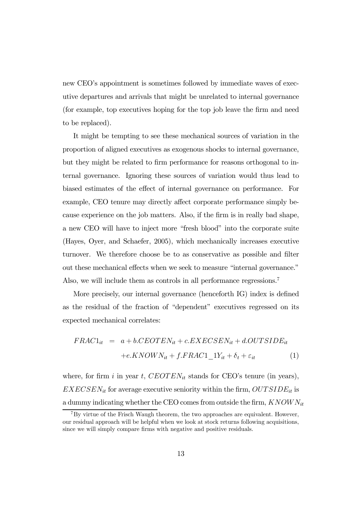new CEO's appointment is sometimes followed by immediate waves of executive departures and arrivals that might be unrelated to internal governance (for example, top executives hoping for the top job leave the firm and need to be replaced).

It might be tempting to see these mechanical sources of variation in the proportion of aligned executives as exogenous shocks to internal governance, but they might be related to firm performance for reasons orthogonal to internal governance. Ignoring these sources of variation would thus lead to biased estimates of the effect of internal governance on performance. For example, CEO tenure may directly affect corporate performance simply because experience on the job matters. Also, if the firm is in really bad shape, a new CEO will have to inject more "fresh blood" into the corporate suite (Hayes, Oyer, and Schaefer, 2005), which mechanically increases executive turnover. We therefore choose be to as conservative as possible and filter out these mechanical effects when we seek to measure "internal governance." Also, we will include them as controls in all performance regressions.<sup>7</sup>

More precisely, our internal governance (henceforth IG) index is defined as the residual of the fraction of "dependent" executives regressed on its expected mechanical correlates:

$$
FRAC1_{it} = a + b.CEOTEN_{it} + c.EXECSEN_{it} + d.OUTSIDE_{it}
$$

$$
+ e.KNOWN_{it} + f.FRAC1\_1Y_{it} + \delta_t + \varepsilon_{it}
$$
(1)

where, for firm i in year t,  $CEOTEN_{it}$  stands for CEO's tenure (in years),  $EXECSEN_{it}$  for average executive seniority within the firm,  $OUTSIDE_{it}$  is a dummy indicating whether the CEO comes from outside the firm,  $KNOWN_{it}$ 

 $7By$  virtue of the Frisch Waugh theorem, the two approaches are equivalent. However, our residual approach will be helpful when we look at stock returns following acquisitions, since we will simply compare firms with negative and positive residuals.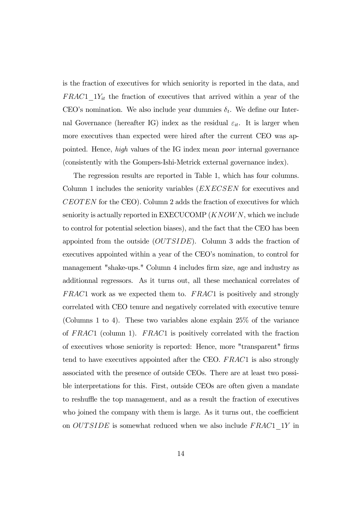is the fraction of executives for which seniority is reported in the data, and  $FRAC1\_1Y_{it}$  the fraction of executives that arrived within a year of the CEO's nomination. We also include year dummies  $\delta_t$ . We define our Internal Governance (hereafter IG) index as the residual  $\varepsilon_{it}$ . It is larger when more executives than expected were hired after the current CEO was appointed. Hence, high values of the IG index mean poor internal governance (consistently with the Gompers-Ishi-Metrick external governance index).

The regression results are reported in Table 1, which has four columns. Column 1 includes the seniority variables (*EXECSEN* for executives and CEOTEN for the CEO). Column 2 adds the fraction of executives for which seniority is actually reported in  $EXECUCOMP$   $(KNOWN)$ , which we include to control for potential selection biases), and the fact that the CEO has been appointed from the outside (OUTSIDE). Column 3 adds the fraction of executives appointed within a year of the CEO's nomination, to control for management "shake-ups." Column 4 includes firm size, age and industry as additionnal regressors. As it turns out, all these mechanical correlates of  $FRAC1$  work as we expected them to.  $FRAC1$  is positively and strongly correlated with CEO tenure and negatively correlated with executive tenure (Columns 1 to 4). These two variables alone explain 25% of the variance of  $FRAC1$  (column 1).  $FRAC1$  is positively correlated with the fraction of executives whose seniority is reported: Hence, more "transparent" firms tend to have executives appointed after the CEO. FRAC1 is also strongly associated with the presence of outside CEOs. There are at least two possible interpretations for this. First, outside CEOs are often given a mandate to reshuffle the top management, and as a result the fraction of executives who joined the company with them is large. As it turns out, the coefficient on  $OUTSIDE$  is somewhat reduced when we also include  $FRAC1$  1Y in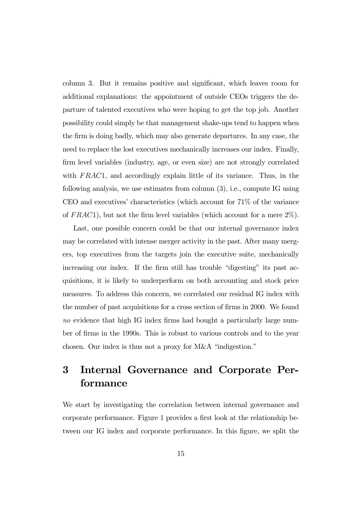column 3. But it remains positive and significant, which leaves room for additional explanations: the appointment of outside CEOs triggers the departure of talented executives who were hoping to get the top job. Another possibility could simply be that management shake-ups tend to happen when the firm is doing badly, which may also generate departures. In any case, the need to replace the lost executives mechanically increases our index. Finally, firm level variables (industry, age, or even size) are not strongly correlated with  $FRAC1$ , and accordingly explain little of its variance. Thus, in the following analysis, we use estimates from column (3), i.e., compute IG using CEO and executives' characteristics (which account for 71% of the variance of  $FRAC1$ , but not the firm level variables (which account for a mere  $2\%$ ).

Last, one possible concern could be that our internal governance index may be correlated with intense merger activity in the past. After many mergers, top executives from the targets join the executive suite, mechanically increasing our index. If the firm still has trouble "digesting" its past acquisitions, it is likely to underperform on both accounting and stock price measures. To address this concern, we correlated our residual IG index with the number of past acquisitions for a cross section of firms in 2000. We found no evidence that high IG index firms had bought a particularly large number of firms in the 1990s. This is robust to various controls and to the year chosen. Our index is thus not a proxy for M&A "indigestion."

## 3 Internal Governance and Corporate Performance

We start by investigating the correlation between internal governance and corporate performance. Figure 1 provides a first look at the relationship between our IG index and corporate performance. In this figure, we split the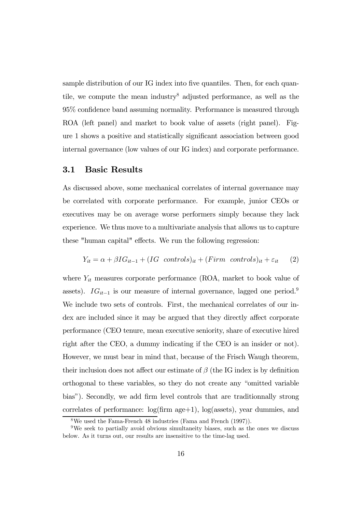sample distribution of our IG index into five quantiles. Then, for each quantile, we compute the mean industry8 adjusted performance, as well as the 95% confidence band assuming normality. Performance is measured through ROA (left panel) and market to book value of assets (right panel). Figure 1 shows a positive and statistically significant association between good internal governance (low values of our IG index) and corporate performance.

### 3.1 Basic Results

As discussed above, some mechanical correlates of internal governance may be correlated with corporate performance. For example, junior CEOs or executives may be on average worse performers simply because they lack experience. We thus move to a multivariate analysis that allows us to capture these "human capital" effects. We run the following regression:

$$
Y_{it} = \alpha + \beta I G_{it-1} + (IG \quad controls)_{it} + (Firm \quad controls)_{it} + \varepsilon_{it} \tag{2}
$$

where  $Y_{it}$  measures corporate performance (ROA, market to book value of assets).  $IG_{it-1}$  is our measure of internal governance, lagged one period.<sup>9</sup> We include two sets of controls. First, the mechanical correlates of our index are included since it may be argued that they directly affect corporate performance (CEO tenure, mean executive seniority, share of executive hired right after the CEO, a dummy indicating if the CEO is an insider or not). However, we must bear in mind that, because of the Frisch Waugh theorem, their inclusion does not affect our estimate of  $\beta$  (the IG index is by definition orthogonal to these variables, so they do not create any "omitted variable bias"). Secondly, we add firm level controls that are traditionnally strong correlates of performance: log(firm age+1), log(assets), year dummies, and

<sup>8</sup>We used the Fama-French 48 industries (Fama and French (1997)).

<sup>9</sup>We seek to partially avoid obvious simultaneity biases, such as the ones we discuss below. As it turns out, our results are insensitive to the time-lag used.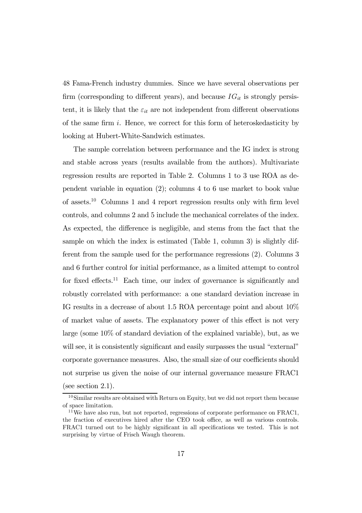48 Fama-French industry dummies. Since we have several observations per firm (corresponding to different years), and because  $IG_{it}$  is strongly persistent, it is likely that the  $\varepsilon_{it}$  are not independent from different observations of the same firm i. Hence, we correct for this form of heteroskedasticity by looking at Hubert-White-Sandwich estimates.

The sample correlation between performance and the IG index is strong and stable across years (results available from the authors). Multivariate regression results are reported in Table 2. Columns 1 to 3 use ROA as dependent variable in equation (2); columns 4 to 6 use market to book value of assets.10 Columns 1 and 4 report regression results only with firm level controls, and columns 2 and 5 include the mechanical correlates of the index. As expected, the difference is negligible, and stems from the fact that the sample on which the index is estimated (Table 1, column 3) is slightly different from the sample used for the performance regressions (2). Columns 3 and 6 further control for initial performance, as a limited attempt to control for fixed effects.<sup>11</sup> Each time, our index of governance is significantly and robustly correlated with performance: a one standard deviation increase in IG results in a decrease of about 1.5 ROA percentage point and about 10% of market value of assets. The explanatory power of this effect is not very large (some 10% of standard deviation of the explained variable), but, as we will see, it is consistently significant and easily surpasses the usual "external" corporate governance measures. Also, the small size of our coefficients should not surprise us given the noise of our internal governance measure FRAC1 (see section 2.1).

<sup>&</sup>lt;sup>10</sup>Similar results are obtained with Return on Equity, but we did not report them because of space limitation.

<sup>11</sup>We have also run, but not reported, regressions of corporate performance on FRAC1, the fraction of executives hired after the CEO took office, as well as various controls. FRAC1 turned out to be highly significant in all specifications we tested. This is not surprising by virtue of Frisch Waugh theorem.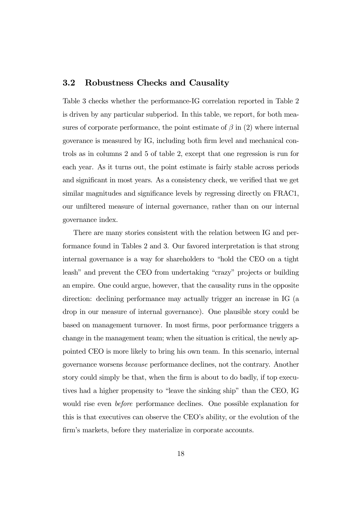### 3.2 Robustness Checks and Causality

Table 3 checks whether the performance-IG correlation reported in Table 2 is driven by any particular subperiod. In this table, we report, for both measures of corporate performance, the point estimate of  $\beta$  in (2) where internal goverance is measured by IG, including both firm level and mechanical controls as in columns 2 and 5 of table 2, except that one regression is run for each year. As it turns out, the point estimate is fairly stable across periods and significant in most years. As a consistency check, we verified that we get similar magnitudes and significance levels by regressing directly on FRAC1, our unfiltered measure of internal governance, rather than on our internal governance index.

There are many stories consistent with the relation between IG and performance found in Tables 2 and 3. Our favored interpretation is that strong internal governance is a way for shareholders to "hold the CEO on a tight leash" and prevent the CEO from undertaking "crazy" projects or building an empire. One could argue, however, that the causality runs in the opposite direction: declining performance may actually trigger an increase in IG (a drop in our measure of internal governance). One plausible story could be based on management turnover. In most firms, poor performance triggers a change in the management team; when the situation is critical, the newly appointed CEO is more likely to bring his own team. In this scenario, internal governance worsens because performance declines, not the contrary. Another story could simply be that, when the firm is about to do badly, if top executives had a higher propensity to "leave the sinking ship" than the CEO, IG would rise even before performance declines. One possible explanation for this is that executives can observe the CEO's ability, or the evolution of the firm's markets, before they materialize in corporate accounts.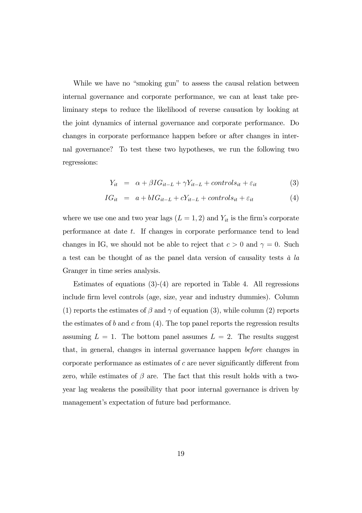While we have no "smoking gun" to assess the causal relation between internal governance and corporate performance, we can at least take preliminary steps to reduce the likelihood of reverse causation by looking at the joint dynamics of internal governance and corporate performance. Do changes in corporate performance happen before or after changes in internal governance? To test these two hypotheses, we run the following two regressions:

$$
Y_{it} = \alpha + \beta I G_{it-L} + \gamma Y_{it-L} + controls_{it} + \varepsilon_{it}
$$
\n(3)

$$
IG_{it} = a + bIG_{it-L} + cY_{it-L} + controls_{it} + \varepsilon_{it}
$$
\n
$$
(4)
$$

where we use one and two year lags  $(L = 1, 2)$  and  $Y_{it}$  is the firm's corporate performance at date  $t$ . If changes in corporate performance tend to lead changes in IG, we should not be able to reject that  $c > 0$  and  $\gamma = 0$ . Such a test can be thought of as the panel data version of causality tests  $\dot{a}$  la Granger in time series analysis.

Estimates of equations  $(3)-(4)$  are reported in Table 4. All regressions include firm level controls (age, size, year and industry dummies). Column (1) reports the estimates of  $\beta$  and  $\gamma$  of equation (3), while column (2) reports the estimates of b and c from  $(4)$ . The top panel reports the regression results assuming  $L = 1$ . The bottom panel assumes  $L = 2$ . The results suggest that, in general, changes in internal governance happen before changes in corporate performance as estimates of c are never significantly different from zero, while estimates of  $\beta$  are. The fact that this result holds with a twoyear lag weakens the possibility that poor internal governance is driven by management's expectation of future bad performance.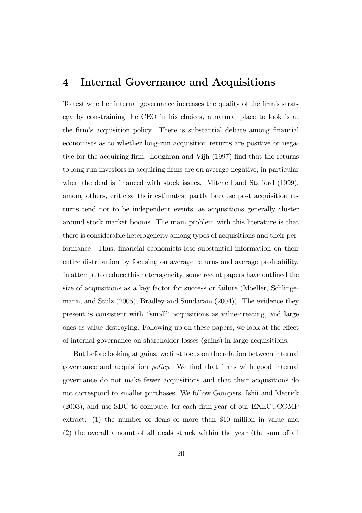## 4 Internal Governance and Acquisitions

To test whether internal governance increases the quality of the firm's strategy by constraining the CEO in his choices, a natural place to look is at the firm's acquisition policy. There is substantial debate among financial economists as to whether long-run acquisition returns are positive or negative for the acquiring firm. Loughran and Vijh (1997) find that the returns to long-run investors in acquiring firms are on average negative, in particular when the deal is financed with stock issues. Mitchell and Stafford (1999), among others, criticize their estimates, partly because post acquisition returns tend not to be independent events, as acquisitions generally cluster around stock market booms. The main problem with this literature is that there is considerable heterogeneity among types of acquisitions and their performance. Thus, financial economists lose substantial information on their entire distribution by focusing on average returns and average profitability. In attempt to reduce this heterogeneity, some recent papers have outlined the size of acquisitions as a key factor for success or failure (Moeller, Schlingemann, and Stulz (2005), Bradley and Sundaram (2004)). The evidence they present is consistent with "small" acquisitions as value-creating, and large ones as value-destroying. Following up on these papers, we look at the effect of internal governance on shareholder losses (gains) in large acquisitions.

But before looking at gains, we first focus on the relation between internal governance and acquisition policy. We find that firms with good internal governance do not make fewer acquisitions and that their acquisitions do not correspond to smaller purchases. We follow Gompers, Ishii and Metrick (2003), and use SDC to compute, for each firm-year of our EXECUCOMP extract: (1) the number of deals of more than \$10 million in value and (2) the overall amount of all deals struck within the year (the sum of all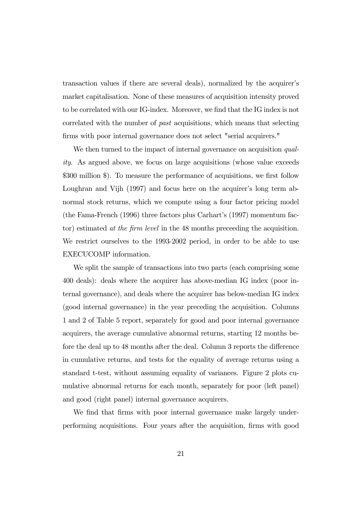transaction values if there are several deals), normalized by the acquirer's market capitalisation. None of these measures of acquisition intensity proved to be correlated with our IG-index. Moreover, we find that the IG index is not correlated with the number of past acquisitions, which means that selecting firms with poor internal governance does not select "serial acquirers."

We then turned to the impact of internal governance on acquisition quality. As argued above, we focus on large acquisitions (whose value exceeds \$300 million \$). To measure the performance of acquisitions, we first follow Loughran and Vijh (1997) and focus here on the acquirer's long term abnormal stock returns, which we compute using a four factor pricing model (the Fama-French (1996) three factors plus Carhart's (1997) momentum factor) estimated at the firm level in the 48 months preceeding the acquisition. We restrict ourselves to the 1993-2002 period, in order to be able to use EXECUCOMP information.

We split the sample of transactions into two parts (each comprising some 400 deals): deals where the acquirer has above-median IG index (poor internal governance), and deals where the acquirer has below-median IG index (good internal governance) in the year preceding the acquisition. Columns 1 and 2 of Table 5 report, separately for good and poor internal governance acquirers, the average cumulative abnormal returns, starting 12 months before the deal up to 48 months after the deal. Column 3 reports the difference in cumulative returns, and tests for the equality of average returns using a standard t-test, without assuming equality of variances. Figure 2 plots cumulative abnormal returns for each month, separately for poor (left panel) and good (right panel) internal governance acquirers.

We find that firms with poor internal governance make largely underperforming acquisitions. Four years after the acquisition, firms with good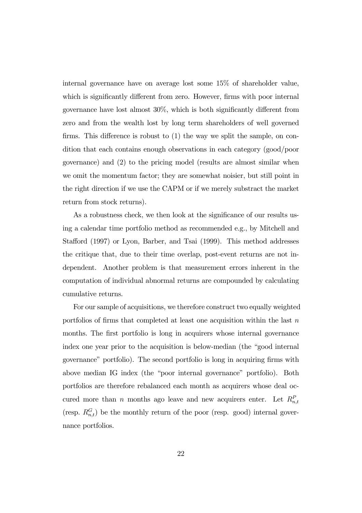internal governance have on average lost some 15% of shareholder value, which is significantly different from zero. However, firms with poor internal governance have lost almost 30%, which is both significantly different from zero and from the wealth lost by long term shareholders of well governed firms. This difference is robust to (1) the way we split the sample, on condition that each contains enough observations in each category (good/poor governance) and (2) to the pricing model (results are almost similar when we omit the momentum factor; they are somewhat noisier, but still point in the right direction if we use the CAPM or if we merely substract the market return from stock returns).

As a robustness check, we then look at the significance of our results using a calendar time portfolio method as recommended e.g., by Mitchell and Stafford (1997) or Lyon, Barber, and Tsai (1999). This method addresses the critique that, due to their time overlap, post-event returns are not independent. Another problem is that measurement errors inherent in the computation of individual abnormal returns are compounded by calculating cumulative returns.

For our sample of acquisitions, we therefore construct two equally weighted portfolios of firms that completed at least one acquisition within the last  $n$ months. The first portfolio is long in acquirers whose internal governance index one year prior to the acquisition is below-median (the "good internal governance" portfolio). The second portfolio is long in acquiring firms with above median IG index (the "poor internal governance" portfolio). Both portfolios are therefore rebalanced each month as acquirers whose deal occured more than n months ago leave and new acquirers enter. Let  $R_{n,t}^P$ (resp.  $R_{n,t}^G$ ) be the monthly return of the poor (resp. good) internal governance portfolios.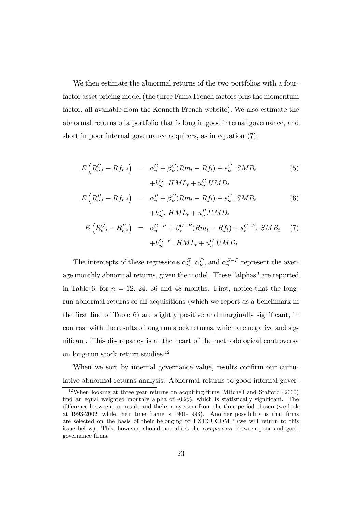We then estimate the abnormal returns of the two portfolios with a fourfactor asset pricing model (the three Fama French factors plus the momentum factor, all available from the Kenneth French website). We also estimate the abnormal returns of a portfolio that is long in good internal governance, and short in poor internal governance acquirers, as in equation (7):

$$
E\left(R_{n,t}^G - R f_{n,t}\right) = \alpha_n^G + \beta_n^G(Rm_t - Rf_t) + s_n^G \cdot SMB_t
$$
  
+
$$
h_n^G \cdot HML_t + u_n^G \cdot UMD_t
$$
 (5)

$$
E\left(R_{n,t}^P - R f_{n,t}\right) = \alpha_n^P + \beta_n^P(Rm_t - Rf_t) + s_n^P. \quad SMB_t
$$
  
+
$$
h_n^P. \quad HML_t + u_n^P. UMD_t
$$
 (6)

$$
E\left(R_{n,t}^G - R_{n,t}^P\right) = \alpha_n^{G-P} + \beta_n^{G-P}(Rm_t - Rf_t) + s_n^{G-P}.\,SMB_t \tag{7}
$$
\n
$$
+ h_n^{G-P}.\,HML_t + u_n^G.\,UMD_t
$$

The intercepts of these regressions  $\alpha_n^G$ ,  $\alpha_n^P$ , and  $\alpha_n^{G-P}$  represent the average monthly abnormal returns, given the model. These "alphas" are reported in Table 6, for  $n = 12, 24, 36$  and 48 months. First, notice that the longrun abnormal returns of all acquisitions (which we report as a benchmark in the first line of Table 6) are slightly positive and marginally significant, in contrast with the results of long run stock returns, which are negative and significant. This discrepancy is at the heart of the methodological controversy on long-run stock return studies.12

When we sort by internal governance value, results confirm our cumulative abnormal returns analysis: Abnormal returns to good internal gover-

<sup>12</sup>When looking at three year returns on acquiring firms, Mitchell and Stafford (2000) find an equal weighted monthly alpha of -0.2%, which is statistically significant. The difference between our result and theirs may stem from the time period chosen (we look at 1993-2002, while their time frame is 1961-1993). Another possibility is that firms are selected on the basis of their belonging to EXECUCOMP (we will return to this issue below). This, however, should not affect the comparison between poor and good governance firms.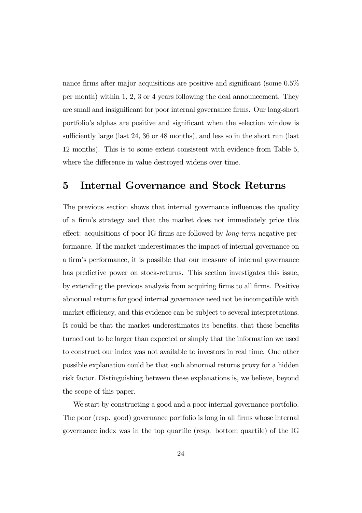nance firms after major acquisitions are positive and significant (some 0.5% per month) within 1, 2, 3 or 4 years following the deal announcement. They are small and insignificant for poor internal governance firms. Our long-short portfolio's alphas are positive and significant when the selection window is sufficiently large (last 24, 36 or 48 months), and less so in the short run (last 12 months). This is to some extent consistent with evidence from Table 5, where the difference in value destroyed widens over time.

## 5 Internal Governance and Stock Returns

The previous section shows that internal governance influences the quality of a firm's strategy and that the market does not immediately price this effect: acquisitions of poor IG firms are followed by long-term negative performance. If the market underestimates the impact of internal governance on a firm's performance, it is possible that our measure of internal governance has predictive power on stock-returns. This section investigates this issue, by extending the previous analysis from acquiring firms to all firms. Positive abnormal returns for good internal governance need not be incompatible with market efficiency, and this evidence can be subject to several interpretations. It could be that the market underestimates its benefits, that these benefits turned out to be larger than expected or simply that the information we used to construct our index was not available to investors in real time. One other possible explanation could be that such abnormal returns proxy for a hidden risk factor. Distinguishing between these explanations is, we believe, beyond the scope of this paper.

We start by constructing a good and a poor internal governance portfolio. The poor (resp. good) governance portfolio is long in all firms whose internal governance index was in the top quartile (resp. bottom quartile) of the IG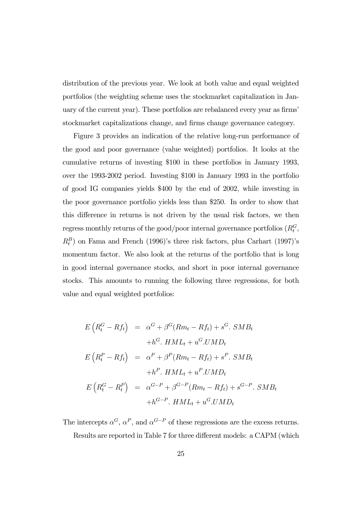distribution of the previous year. We look at both value and equal weighted portfolios (the weighting scheme uses the stockmarket capitalization in January of the current year). These portfolios are rebalanced every year as firms' stockmarket capitalizations change, and firms change governance category.

Figure 3 provides an indication of the relative long-run performance of the good and poor governance (value weighted) portfolios. It looks at the cumulative returns of investing \$100 in these portfolios in January 1993, over the 1993-2002 period. Investing \$100 in January 1993 in the portfolio of good IG companies yields \$400 by the end of 2002, while investing in the poor governance portfolio yields less than \$250. In order to show that this difference in returns is not driven by the usual risk factors, we then regress monthly returns of the good/poor internal governance portfolios  $(R_t^G,$  $R_t^B$ ) on Fama and French (1996)'s three risk factors, plus Carhart (1997)'s momentum factor. We also look at the returns of the portfolio that is long in good internal governance stocks, and short in poor internal governance stocks. This amounts to running the following three regressions, for both value and equal weighted portfolios:

$$
E\left(R_t^G - Rf_t\right) = \alpha^G + \beta^G(Rm_t - Rf_t) + s^G. \text{SMB}_t
$$
  
+h<sup>G</sup>.  $HML_t + u^G. UMD_t$   

$$
E\left(R_t^P - Rf_t\right) = \alpha^P + \beta^P(Rm_t - Rf_t) + s^P. \text{SMB}_t
$$
  
+h<sup>P</sup>.  $HML_t + u^P. UMD_t$   

$$
E\left(R_t^G - R_t^P\right) = \alpha^{G-P} + \beta^{G-P}(Rm_t - Rf_t) + s^{G-P}. \text{SMB}_t
$$
  
+h<sup>G-P</sup>.  $HML_t + u^G. UMD_t$ 

The intercepts  $\alpha^G$ ,  $\alpha^P$ , and  $\alpha^{G-P}$  of these regressions are the excess returns.

Results are reported in Table 7 for three different models: a CAPM (which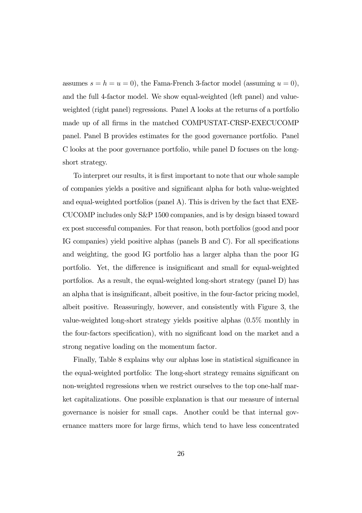assumes  $s = h = u = 0$ , the Fama-French 3-factor model (assuming  $u = 0$ ), and the full 4-factor model. We show equal-weighted (left panel) and valueweighted (right panel) regressions. Panel A looks at the returns of a portfolio made up of all firms in the matched COMPUSTAT-CRSP-EXECUCOMP panel. Panel B provides estimates for the good governance portfolio. Panel C looks at the poor governance portfolio, while panel D focuses on the longshort strategy.

To interpret our results, it is first important to note that our whole sample of companies yields a positive and significant alpha for both value-weighted and equal-weighted portfolios (panel A). This is driven by the fact that EXE-CUCOMP includes only S&P 1500 companies, and is by design biased toward ex post successful companies. For that reason, both portfolios (good and poor IG companies) yield positive alphas (panels B and C). For all specifications and weighting, the good IG portfolio has a larger alpha than the poor IG portfolio. Yet, the difference is insignificant and small for equal-weighted portfolios. As a result, the equal-weighted long-short strategy (panel D) has an alpha that is insignificant, albeit positive, in the four-factor pricing model, albeit positive. Reassuringly, however, and consistently with Figure 3, the value-weighted long-short strategy yields positive alphas (0.5% monthly in the four-factors specification), with no significant load on the market and a strong negative loading on the momentum factor.

Finally, Table 8 explains why our alphas lose in statistical significance in the equal-weighted portfolio: The long-short strategy remains significant on non-weighted regressions when we restrict ourselves to the top one-half market capitalizations. One possible explanation is that our measure of internal governance is noisier for small caps. Another could be that internal governance matters more for large firms, which tend to have less concentrated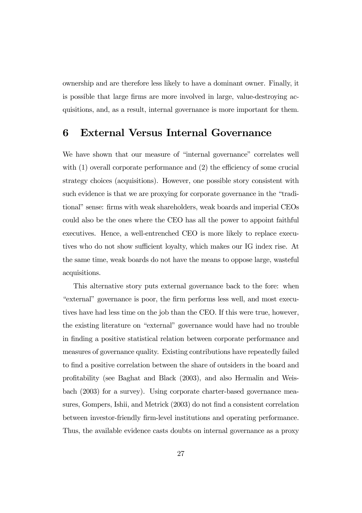ownership and are therefore less likely to have a dominant owner. Finally, it is possible that large firms are more involved in large, value-destroying acquisitions, and, as a result, internal governance is more important for them.

## 6 External Versus Internal Governance

We have shown that our measure of "internal governance" correlates well with  $(1)$  overall corporate performance and  $(2)$  the efficiency of some crucial strategy choices (acquisitions). However, one possible story consistent with such evidence is that we are proxying for corporate governance in the "traditional" sense: firms with weak shareholders, weak boards and imperial CEOs could also be the ones where the CEO has all the power to appoint faithful executives. Hence, a well-entrenched CEO is more likely to replace executives who do not show sufficient loyalty, which makes our IG index rise. At the same time, weak boards do not have the means to oppose large, wasteful acquisitions.

This alternative story puts external governance back to the fore: when "external" governance is poor, the firm performs less well, and most executives have had less time on the job than the CEO. If this were true, however, the existing literature on "external" governance would have had no trouble in finding a positive statistical relation between corporate performance and measures of governance quality. Existing contributions have repeatedly failed to find a positive correlation between the share of outsiders in the board and profitability (see Baghat and Black (2003), and also Hermalin and Weisbach (2003) for a survey). Using corporate charter-based governance measures, Gompers, Ishii, and Metrick (2003) do not find a consistent correlation between investor-friendly firm-level institutions and operating performance. Thus, the available evidence casts doubts on internal governance as a proxy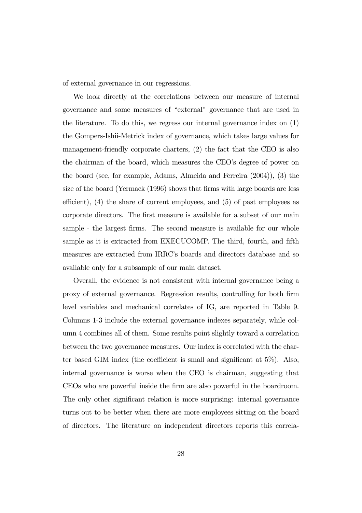of external governance in our regressions.

We look directly at the correlations between our measure of internal governance and some measures of "external" governance that are used in the literature. To do this, we regress our internal governance index on (1) the Gompers-Ishii-Metrick index of governance, which takes large values for management-friendly corporate charters, (2) the fact that the CEO is also the chairman of the board, which measures the CEO's degree of power on the board (see, for example, Adams, Almeida and Ferreira (2004)), (3) the size of the board (Yermack (1996) shows that firms with large boards are less efficient), (4) the share of current employees, and (5) of past employees as corporate directors. The first measure is available for a subset of our main sample - the largest firms. The second measure is available for our whole sample as it is extracted from EXECUCOMP. The third, fourth, and fifth measures are extracted from IRRC's boards and directors database and so available only for a subsample of our main dataset.

Overall, the evidence is not consistent with internal governance being a proxy of external governance. Regression results, controlling for both firm level variables and mechanical correlates of IG, are reported in Table 9. Columns 1-3 include the external governance indexes separately, while column 4 combines all of them. Some results point slightly toward a correlation between the two governance measures. Our index is correlated with the charter based GIM index (the coefficient is small and significant at 5%). Also, internal governance is worse when the CEO is chairman, suggesting that CEOs who are powerful inside the firm are also powerful in the boardroom. The only other significant relation is more surprising: internal governance turns out to be better when there are more employees sitting on the board of directors. The literature on independent directors reports this correla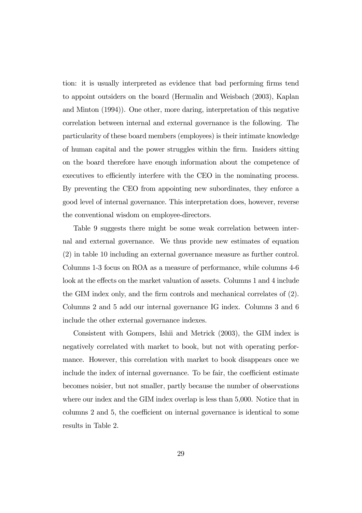tion: it is usually interpreted as evidence that bad performing firms tend to appoint outsiders on the board (Hermalin and Weisbach (2003), Kaplan and Minton (1994)). One other, more daring, interpretation of this negative correlation between internal and external governance is the following. The particularity of these board members (employees) is their intimate knowledge of human capital and the power struggles within the firm. Insiders sitting on the board therefore have enough information about the competence of executives to efficiently interfere with the CEO in the nominating process. By preventing the CEO from appointing new subordinates, they enforce a good level of internal governance. This interpretation does, however, reverse the conventional wisdom on employee-directors.

Table 9 suggests there might be some weak correlation between internal and external governance. We thus provide new estimates of equation (2) in table 10 including an external governance measure as further control. Columns 1-3 focus on ROA as a measure of performance, while columns 4-6 look at the effects on the market valuation of assets. Columns 1 and 4 include the GIM index only, and the firm controls and mechanical correlates of (2). Columns 2 and 5 add our internal governance IG index. Columns 3 and 6 include the other external governance indexes.

Consistent with Gompers, Ishii and Metrick (2003), the GIM index is negatively correlated with market to book, but not with operating performance. However, this correlation with market to book disappears once we include the index of internal governance. To be fair, the coefficient estimate becomes noisier, but not smaller, partly because the number of observations where our index and the GIM index overlap is less than 5,000. Notice that in columns 2 and 5, the coefficient on internal governance is identical to some results in Table 2.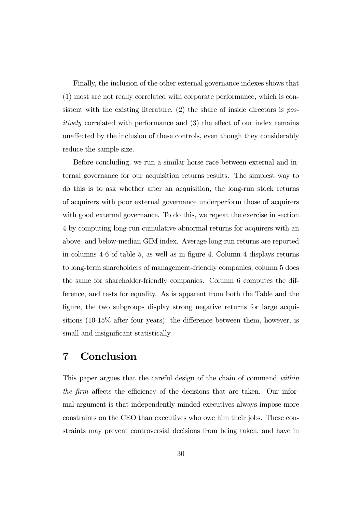Finally, the inclusion of the other external governance indexes shows that (1) most are not really correlated with corporate performance, which is consistent with the existing literature,  $(2)$  the share of inside directors is positively correlated with performance and (3) the effect of our index remains unaffected by the inclusion of these controls, even though they considerably reduce the sample size.

Before concluding, we run a similar horse race between external and internal governance for our acquisition returns results. The simplest way to do this is to ask whether after an acquisition, the long-run stock returns of acquirers with poor external governance underperform those of acquirers with good external governance. To do this, we repeat the exercise in section 4 by computing long-run cumulative abnormal returns for acquirers with an above- and below-median GIM index. Average long-run returns are reported in columns 4-6 of table 5, as well as in figure 4. Column 4 displays returns to long-term shareholders of management-friendly companies, column 5 does the same for shareholder-friendly companies. Column 6 computes the difference, and tests for equality. As is apparent from both the Table and the figure, the two subgroups display strong negative returns for large acquisitions (10-15% after four years); the difference between them, however, is small and insignificant statistically.

## 7 Conclusion

This paper argues that the careful design of the chain of command within the firm affects the efficiency of the decisions that are taken. Our informal argument is that independently-minded executives always impose more constraints on the CEO than executives who owe him their jobs. These constraints may prevent controversial decisions from being taken, and have in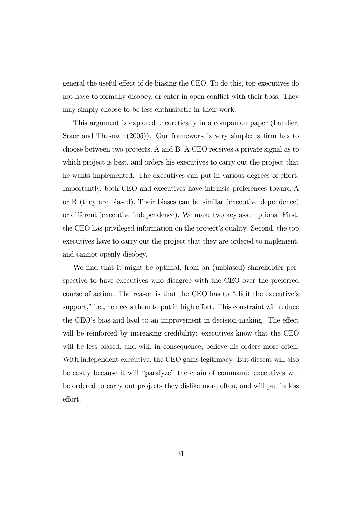general the useful effect of de-biasing the CEO. To do this, top executives do not have to formally disobey, or enter in open conflict with their boss. They may simply choose to be less enthusiastic in their work.

This argument is explored theoretically in a companion paper (Landier, Sraer and Thesmar (2005)). Our framework is very simple: a firm has to choose between two projects, A and B. A CEO receives a private signal as to which project is best, and orders his executives to carry out the project that he wants implemented. The executives can put in various degrees of effort. Importantly, both CEO and executives have intrinsic preferences toward A or B (they are biased). Their biases can be similar (executive dependence) or different (executive independence). We make two key assumptions. First, the CEO has privileged information on the project's quality. Second, the top executives have to carry out the project that they are ordered to implement, and cannot openly disobey.

We find that it might be optimal, from an (unbiased) shareholder perspective to have executives who disagree with the CEO over the preferred course of action. The reason is that the CEO has to "elicit the executive's support," i.e., he needs them to put in high effort. This constraint will reduce the CEO's bias and lead to an improvement in decision-making. The effect will be reinforced by increasing credibility: executives know that the CEO will be less biased, and will, in consequence, believe his orders more often. With independent executive, the CEO gains legitimacy. But dissent will also be costly because it will "paralyze" the chain of command: executives will be ordered to carry out projects they dislike more often, and will put in less effort.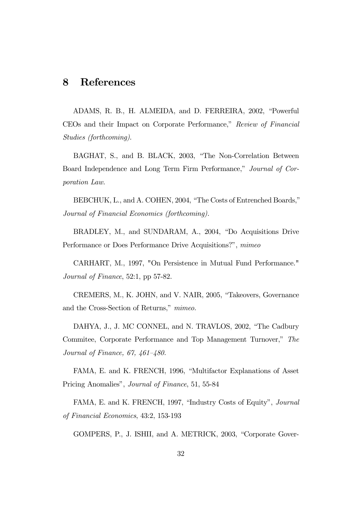## 8 References

ADAMS, R. B., H. ALMEIDA, and D. FERREIRA, 2002, "Powerful CEOs and their Impact on Corporate Performance," Review of Financial Studies (forthcoming).

BAGHAT, S., and B. BLACK, 2003, "The Non-Correlation Between Board Independence and Long Term Firm Performance," Journal of Corporation Law.

BEBCHUK, L., and A. COHEN, 2004, "The Costs of Entrenched Boards," Journal of Financial Economics (forthcoming).

BRADLEY, M., and SUNDARAM, A., 2004, "Do Acquisitions Drive Performance or Does Performance Drive Acquisitions?", mimeo

CARHART, M., 1997, "On Persistence in Mutual Fund Performance." Journal of Finance, 52:1, pp 57-82.

CREMERS, M., K. JOHN, and V. NAIR, 2005, "Takeovers, Governance and the Cross-Section of Returns," mimeo.

DAHYA, J., J. MC CONNEL, and N. TRAVLOS, 2002, "The Cadbury Commitee, Corporate Performance and Top Management Turnover," The Journal of Finance, 67, 461—480.

FAMA, E. and K. FRENCH, 1996, "Multifactor Explanations of Asset Pricing Anomalies", Journal of Finance, 51, 55-84

FAMA, E. and K. FRENCH, 1997, "Industry Costs of Equity", Journal of Financial Economics, 43:2, 153-193

GOMPERS, P., J. ISHII, and A. METRICK, 2003, "Corporate Gover-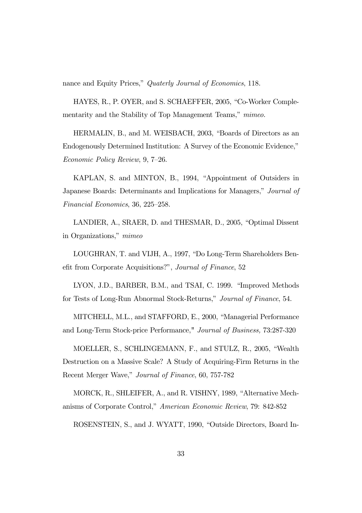nance and Equity Prices," Quaterly Journal of Economics, 118.

HAYES, R., P. OYER, and S. SCHAEFFER, 2005, "Co-Worker Complementarity and the Stability of Top Management Teams," mimeo.

HERMALIN, B., and M. WEISBACH, 2003, "Boards of Directors as an Endogenously Determined Institution: A Survey of the Economic Evidence," Economic Policy Review, 9, 7—26.

KAPLAN, S. and MINTON, B., 1994, "Appointment of Outsiders in Japanese Boards: Determinants and Implications for Managers," Journal of Financial Economics, 36, 225—258.

LANDIER, A., SRAER, D. and THESMAR, D., 2005, "Optimal Dissent in Organizations," mimeo

LOUGHRAN, T. and VIJH, A., 1997, "Do Long-Term Shareholders Benefit from Corporate Acquisitions?", Journal of Finance, 52

LYON, J.D., BARBER, B.M., and TSAI, C. 1999. "Improved Methods for Tests of Long-Run Abnormal Stock-Returns," Journal of Finance, 54.

MITCHELL, M.L., and STAFFORD, E., 2000, "Managerial Performance and Long-Term Stock-price Performance," Journal of Business, 73:287-320

MOELLER, S., SCHLINGEMANN, F., and STULZ, R., 2005, "Wealth Destruction on a Massive Scale? A Study of Acquiring-Firm Returns in the Recent Merger Wave," Journal of Finance, 60, 757-782

MORCK, R., SHLEIFER, A., and R. VISHNY, 1989, "Alternative Mechanisms of Corporate Control," American Economic Review, 79: 842-852

ROSENSTEIN, S., and J. WYATT, 1990, "Outside Directors, Board In-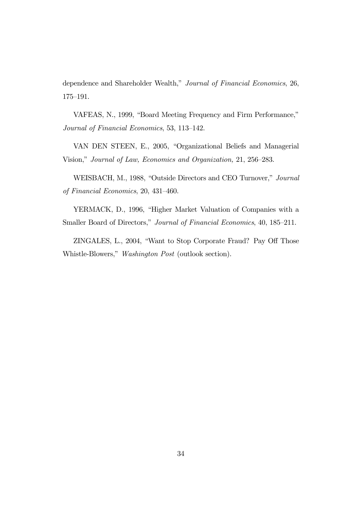dependence and Shareholder Wealth," Journal of Financial Economics, 26, 175—191.

VAFEAS, N., 1999, "Board Meeting Frequency and Firm Performance," Journal of Financial Economics, 53, 113—142.

VAN DEN STEEN, E., 2005, "Organizational Beliefs and Managerial Vision," Journal of Law, Economics and Organization, 21, 256—283.

WEISBACH, M., 1988, "Outside Directors and CEO Turnover," Journal of Financial Economics, 20, 431—460.

YERMACK, D., 1996, "Higher Market Valuation of Companies with a Smaller Board of Directors," Journal of Financial Economics, 40, 185–211.

ZINGALES, L., 2004, "Want to Stop Corporate Fraud? Pay Off Those Whistle-Blowers," Washington Post (outlook section).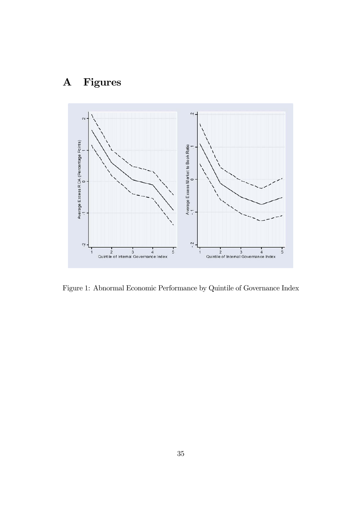# A Figures



Figure 1: Abnormal Economic Performance by Quintile of Governance Index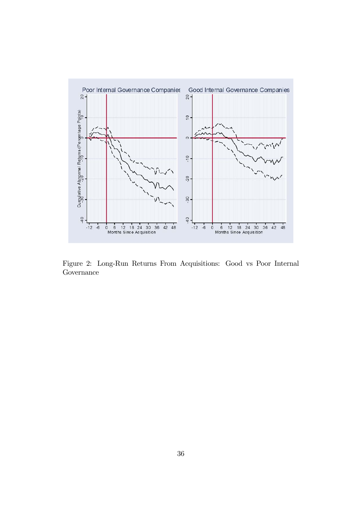

Figure 2: Long-Run Returns From Acquisitions: Good vs Poor Internal Governance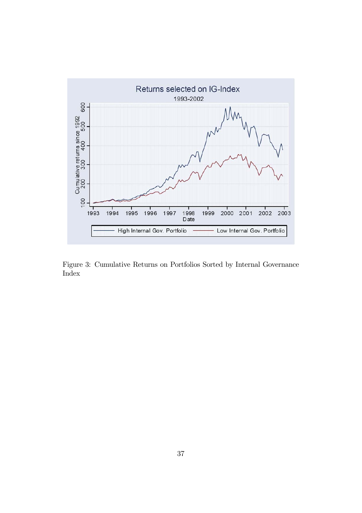

Figure 3: Cumulative Returns on Portfolios Sorted by Internal Governance Index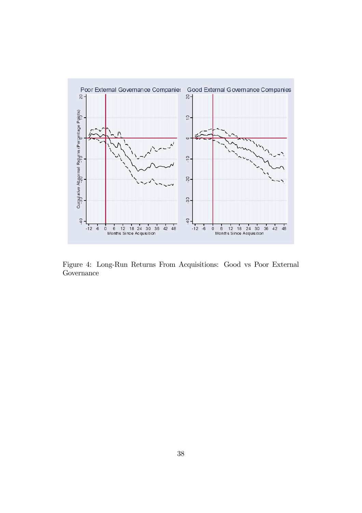

Figure 4: Long-Run Returns From Acquisitions: Good vs Poor External Governance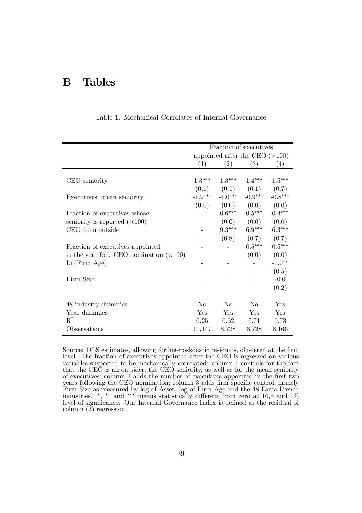## B Tables

|                                                 |                | Fraction of executives                 |                         |           |
|-------------------------------------------------|----------------|----------------------------------------|-------------------------|-----------|
|                                                 |                | appointed after the CEO $(\times 100)$ |                         |           |
|                                                 | (1)            | (2)                                    | (3)                     | (4)       |
|                                                 |                |                                        |                         |           |
| CEO seniority                                   | $1.3***$       | $1.3***$                               | $1.4***$                | $1.5***$  |
|                                                 | (0.1)          | (0.1)                                  | (0.1)                   | (0.7)     |
| Executives' mean seniority                      | $-1.2***$      | $-1.0***$                              | $-0.9***$               | $-0.8***$ |
|                                                 | (0.0)          | (0.0)                                  | (0.0)                   | (0.0)     |
| Fraction of executives whose                    |                | $0.6***$                               | $0.5***$                | $0.4***$  |
| seniority is reported $(\times 100)$            |                | (0.0)                                  | (0.0)                   | (0.0)     |
| CEO from outside                                |                | $9.3***$                               | $6.9***$                | $6.3***$  |
|                                                 |                | (0.8)                                  | (0.7)                   | (0.7)     |
| Fraction of executives appointed                |                |                                        | $0.5***$                | $0.5***$  |
| in the year foll. CEO nomination $(\times 100)$ |                |                                        | (0.0)                   | (0.0)     |
| Ln(Firm Age)                                    |                |                                        |                         | $-1.0**$  |
|                                                 |                |                                        |                         | (0.5)     |
| Firm Size                                       |                |                                        |                         | $-0.0$    |
|                                                 |                |                                        |                         | (0.2)     |
|                                                 |                |                                        |                         |           |
| 48 industry dummies                             | N <sub>0</sub> | $\rm No$                               | $\overline{N}_{\Omega}$ | Yes       |
| Year dummies                                    | Yes            | Yes                                    | Yes                     | Yes       |
| $\mathbf{R}^2$                                  | 0.25           | 0.62                                   | 0.71                    | 0.73      |
| Observations                                    | 11,147         | 8,728                                  | 8,728                   | 8,166     |

Table 1: Mechanical Correlates of Internal Governance

Source: OLS estimates, allowing for heteroskdastic residuals, clustered at the firm level. The fraction of executives appointed after the CEO is regressed on various variables suspected to be mechanically correlated: column 1 controls for the fact that the CE $\ddot{\Omega}$  is an outsider, the CE $\ddot{\Omega}$  seniority, as well as for the mean seniority of executives; column 2 adds the number of executives appointed in the first two years following the CEO nomination; column 3 adds firm specific control, namely Firm Size as measured by log of Asset, log of Firm Age and the 48 Fama French industries. ∗, ∗∗ and ∗∗∗ means statistically different from zero at 10,5 and 1% level of significance. Our Internal Governance Index is defined as the residual of column  $(2)$  regression.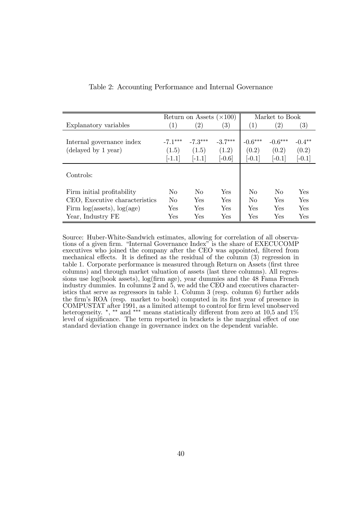|                                      |                   | Return on Assets $(\times 100)$ |               | Market to Book   |                   |                   |
|--------------------------------------|-------------------|---------------------------------|---------------|------------------|-------------------|-------------------|
| Explanatory variables                | $\left( 1\right)$ | $\left( 2\right)$               | $^{\prime}3)$ | $\left(1\right)$ | $\left( 2\right)$ | $\left( 3\right)$ |
|                                      |                   |                                 |               |                  |                   |                   |
| Internal governance index            | $-7.1***$         | $-7.3***$                       | $-3.7***$     | $-0.6***$        | $-0.6***$         | $-0.4**$          |
| (delayed by 1 year)                  | (1.5)             | (1.5)                           | (1.2)         | (0.2)            | (0.2)             | (0.2)             |
|                                      | $[-1.1]$          | $[-1.1]$                        | $[-0.6]$      | $[-0.1]$         | $[-0.1]$          | $[-0.1]$          |
| Controls:                            |                   |                                 |               |                  |                   |                   |
| Firm initial profitability           | N <sub>0</sub>    | N <sub>o</sub>                  | Yes           | N <sub>0</sub>   | N <sub>0</sub>    | Yes               |
| CEO, Executive characteristics       | N <sub>0</sub>    | Yes                             | Yes           | No               | <b>Yes</b>        | Yes               |
| Firm $log($ assets $), log($ age $)$ | Yes               | Yes                             | Yes           | Yes              | Yes               | Yes               |
| Year, Industry FE                    | Yes               | Yes                             | Yes           | Yes              | Yes               | Yes               |

Table 2: Accounting Performance and Internal Governance

Source: Huber-White-Sandwich estimates, allowing for correlation of all observations of a given firm. "Internal Governance Index" is the share of EXECUCOMP executives who joined the company after the CEO was appointed, filtered from mechanical effects. It is defined as the residual of the column (3) regression in table 1. Corporate performance is measured through Return on Assets (first three columns) and through market valuation of assets (last three columns). All regressions use log(book assets), log(firm age), year dummies and the 48 Fama French industry dummies. In columns 2 and 5, we add the CEO and executives characteristics that serve as regressors in table 1. Column 3 (resp. column 6) further adds the firm's ROA (resp. market to book) computed in its first year of presence in COMPUSTAT after 1991, as a limited attempt to control for firm level unobserved heterogeneity. <sup>\*</sup>, <sup>\*\*</sup> and <sup>\*\*\*</sup> means statistically different from zero at 10,5 and 1% level of significance. The term reported in brackets is the marginal effect of one standard deviation change in governance index on the dependent variable.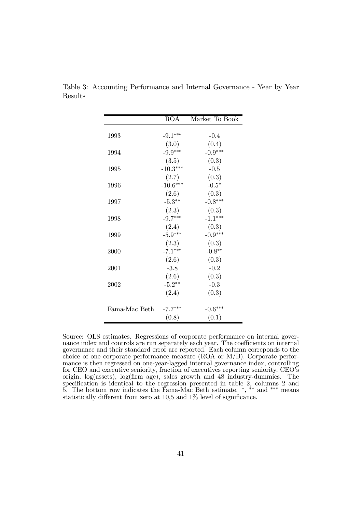|               | ROA        | Market To Book |
|---------------|------------|----------------|
|               |            |                |
| 1993          | $-9.1***$  | $-0.4$         |
|               | (3.0)      | (0.4)          |
| 1994          | $-9.9***$  | $-0.9***$      |
|               | (3.5)      | (0.3)          |
| 1995          | $-10.3***$ | $-0.5$         |
|               | (2.7)      | (0.3)          |
| 1996          | $-10.6***$ | $-0.5*$        |
|               | (2.6)      | (0.3)          |
| 1997          | $-5.3***$  | $-0.8***$      |
|               | (2.3)      | (0.3)          |
| 1998          | $-9.7***$  | $-1.1***$      |
|               | (2.4)      | (0.3)          |
| 1999          | $-5.9***$  | $-0.9***$      |
|               | (2.3)      | (0.3)          |
| 2000          | $-7.1***$  | $-0.8**$       |
|               | (2.6)      | (0.3)          |
| 2001          | $-3.8$     | $-0.2$         |
|               | (2.6)      | (0.3)          |
| 2002          | $-5.2**$   | $-0.3$         |
|               | (2.4)      | (0.3)          |
|               |            |                |
| Fama-Mac Beth | $-7.7***$  | $-0.6***$      |
|               | (0.8)      | (0.1)          |

Table 3: Accounting Performance and Internal Governance - Year by Year Results

Source: OLS estimates. Regressions of corporate performance on internal governance index and controls are run separately each year. The coefficients on internal governance and their standard error are reported. Each column correponds to the choice of one corporate performance measure (ROA or M/B). Corporate performance is then regressed on one-year-lagged internal governance index, controlling for CEO and executive seniority, fraction of executives reporting seniority, CEO's origin, log(assets), log(firm age), sales growth and 48 industry-dummies. The specification is identical to the regression presented in table 2, columns 2 and 5. The bottom row indicates the Fama-Mac Beth estimate. ∗, ∗∗ and ∗∗∗ means statistically different from zero at 10,5 and 1% level of significance.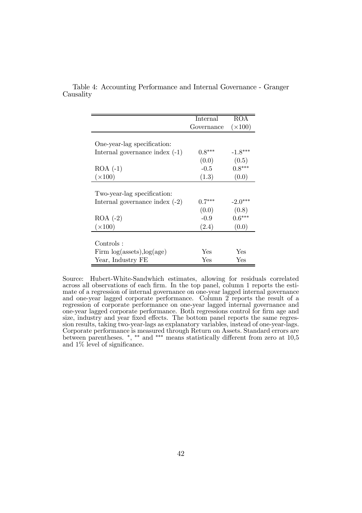|                                      | Internal   | <b>ROA</b>     |
|--------------------------------------|------------|----------------|
|                                      | Governance | $(\times 100)$ |
|                                      |            |                |
| One-year-lag specification:          |            |                |
| Internal governance index $(-1)$     | $0.8***$   | $-1.8***$      |
|                                      | (0.0)      | (0.5)          |
| $ROA$ $(-1)$                         | $-0.5$     | $0.8***$       |
| $(\times 100)$                       | (1.3)      | (0.0)          |
|                                      |            |                |
| Two-year-lag specification:          |            |                |
| Internal governance index $(-2)$     | $0.7***$   | $-2.0***$      |
|                                      | (0.0)      | (0.8)          |
| $ROA (-2)$                           | $-0.9$     | $0.6***$       |
| $(\times 100)$                       | (2.4)      | (0.0)          |
|                                      |            |                |
| Controls:                            |            |                |
| Firm $log($ assets $), log($ age $)$ | Yes        | Yes            |
| Year, Industry FE                    | Yes        | Yes            |

Table 4: Accounting Performance and Internal Governance - Granger Causality

Source: Hubert-White-Sandwhich estimates, allowing for residuals correlated across all observations of each firm. In the top panel, column 1 reports the estimate of a regression of internal governance on one-year lagged internal governance and one-year lagged corporate performance. Column 2 reports the result of a regression of corporate performance on one-year lagged internal governance and one-year lagged corporate performance. Both regressions control for firm age and size, industry and year fixed effects. The bottom panel reports the same regression results, taking two-year-lags as explanatory variables, instead of one-year-lags. Corporate performance is measured through Return on Assets. Standard errors are between parentheses. ∗, ∗∗ and ∗∗∗ means statistically different from zero at 10,5 and 1% level of significance.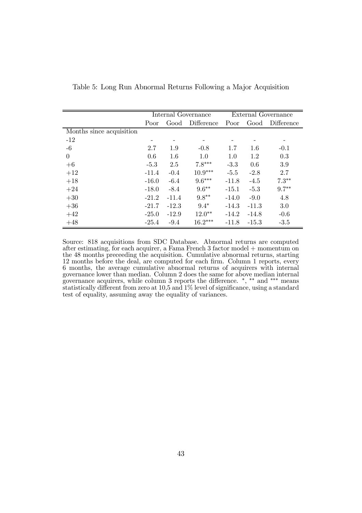|                          |         |         | Internal Governance | <b>External Governance</b> |         |            |
|--------------------------|---------|---------|---------------------|----------------------------|---------|------------|
|                          | Poor    | Good    | Difference          | Poor                       | Good    | Difference |
| Months since acquisition |         |         |                     |                            |         |            |
| $-12$                    |         |         |                     |                            |         |            |
| $-6$                     | 2.7     | 1.9     | $-0.8$              | 1.7                        | 1.6     | $-0.1$     |
| $\overline{0}$           | 0.6     | 1.6     | 1.0                 | 1.0                        | 1.2     | 0.3        |
| $+6$                     | $-5.3$  | 2.5     | $7.8***$            | $-3.3$                     | 0.6     | 3.9        |
| $+12$                    | $-11.4$ | $-0.4$  | $10.9***$           | $-5.5$                     | $-2.8$  | 2.7        |
| $+18$                    | $-16.0$ | $-6.4$  | $9.6***$            | $-11.8$                    | $-4.5$  | $7.3**$    |
| $+24$                    | $-18.0$ | $-8.4$  | $9.6***$            | $-15.1$                    | $-5.3$  | $9.7**$    |
| $+30$                    | $-21.2$ | $-11.4$ | $9.8**$             | $-14.0$                    | $-9.0$  | 4.8        |
| $+36$                    | $-21.7$ | $-12.3$ | $9.4*$              | $-14.3$                    | $-11.3$ | 3.0        |
| $+42$                    | $-25.0$ | $-12.9$ | $12.0**$            | $-14.2$                    | $-14.8$ | $-0.6$     |
| $+48$                    | $-25.4$ | $-9.4$  | $16.2***$           | $-11.8$                    | $-15.3$ | $-3.5$     |

Table 5: Long Run Abnormal Returns Following a Major Acquisition

Source: 818 acquisitions from SDC Database. Abnormal returns are computed after estimating, for each acquirer, a Fama French 3 factor model + momentum on the 48 months preceeding the acquisition. Cumulative abnormal returns, starting 12 months before the deal, are computed for each firm. Column 1 reports, every 6 months, the average cumulative abnormal returns of acquirers with internal governance lower than median. Column 2 does the same for above median internal governance acquirers, while column 3 reports the difference. <sup>\*</sup>, <sup>\*\*</sup> and <sup>\*\*\*</sup> means statistically different from zero at 10,5 and 1% level of significance, using a standard test of equality, assuming away the equality of variances.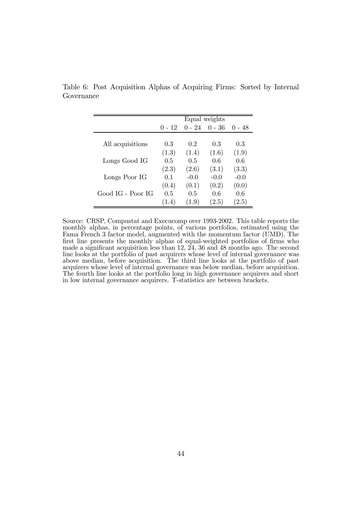|                   |          |          | Equal weights |          |
|-------------------|----------|----------|---------------|----------|
|                   | $0 - 12$ | $0 - 24$ | $0 - 36$      | $0 - 48$ |
|                   |          |          |               |          |
| All acquisitions  | 0.3      | 0.2      | 0.3           | 0.3      |
|                   | (1.3)    | (1.4)    | (1.6)         | (1.9)    |
| Longs Good IG     | 0.5      | 0.5      | 0.6           | 0.6      |
|                   | (2.3)    | (2.6)    | (3.1)         | (3.3)    |
| Longs Poor IG     | 0.1      | $-0.0$   | $-0.0$        | $-0.0$   |
|                   | (0.4)    | (0.1)    | (0.2)         | (0.0)    |
| Good IG - Poor IG | 0.5      | 0.5      | 0.6           | 0.6      |
|                   | (1.4)    | (1.9)    | (2.5)         | 2.5)     |

Table 6: Post Acquisition Alphas of Acquiring Firms: Sorted by Internal Governance

Source: CRSP, Compustat and Execucomp over 1993-2002. This table reports the monthly alphas, in percentage points, of various portfolios, estimated using the Fama French 3 factor model, augmented with the momentum factor (UMD). The first line presents the monthly alphas of equal-weighted portfolios of firms who made a significant acquisition less than 12, 24, 36 and 48 months ago. The second line looks at the portfolio of past acquirers whose level of internal governance was above median, before acquisition. The third line looks at the portfolio of past acquirers whose level of internal governance was below median, before acquisition. The fourth line looks at the portfolio long in high governance acquirers and short in low internal governance acquirers. T-statistics are between brackets.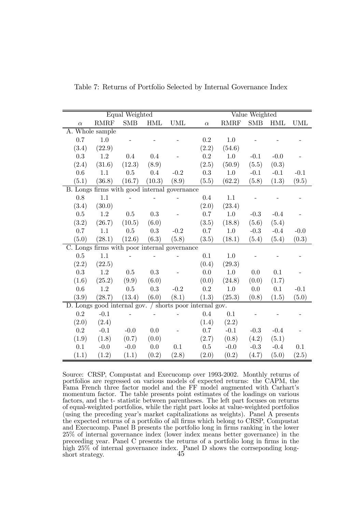|          |                                              | Equal Weighted |            |            |                                                         |         | Value Weighted |            |            |
|----------|----------------------------------------------|----------------|------------|------------|---------------------------------------------------------|---------|----------------|------------|------------|
| $\alpha$ | <b>RMRF</b>                                  | <b>SMB</b>     | <b>HML</b> | <b>UML</b> | $\alpha$                                                | RMRF    | <b>SMB</b>     | <b>HML</b> | <b>UML</b> |
|          | A. Whole sample                              |                |            |            |                                                         |         |                |            |            |
| 0.7      | 1.0                                          |                |            |            | $0.2\,$                                                 | 1.0     |                |            |            |
| (3.4)    | (22.9)                                       |                |            |            | (2.2)                                                   | (54.6)  |                |            |            |
| 0.3      | 1.2                                          | 0.4            | 0.4        |            | $0.2\,$                                                 | 1.0     | $-0.1$         | $-0.0$     |            |
| (2.4)    | (31.6)                                       | (12.3)         | (8.9)      |            | (2.5)                                                   | (50.9)  | (5.5)          | (0.3)      |            |
| 0.6      | 1.1                                          | 0.5            | 0.4        | $-0.2$     | 0.3                                                     | 1.0     | $-0.1$         | $-0.1$     | $-0.1$     |
| (5.1)    | (36.8)                                       | (16.7)         | (10.3)     | (8.9)      | (5.5)                                                   | (62.2)  | (5.8)          | (1.3)      | (9.5)      |
|          | B. Longs firms with good internal governance |                |            |            |                                                         |         |                |            |            |
| 0.8      | 1.1                                          |                |            |            | 0.4                                                     | 1.1     |                |            |            |
| (3.4)    | (30.0)                                       |                |            |            | (2.0)                                                   | (23.4)  |                |            |            |
| 0.5      | $1.2\,$                                      | 0.5            | $\rm 0.3$  |            | 0.7                                                     | $1.0\,$ | $-0.3$         | $-0.4$     |            |
| (3.2)    | (26.7)                                       | (10.5)         | (6.0)      |            | (3.5)                                                   | (18.8)  | (5.6)          | (5.4)      |            |
| 0.7      | 1.1                                          | 0.5            | 0.3        | $-0.2$     | 0.7                                                     | 1.0     | $-0.3$         | $-0.4$     | $-0.0$     |
| (5.0)    | (28.1)                                       | (12.6)         | (6.3)      | (5.8)      | (3.5)                                                   | (18.1)  | (5.4)          | (5.4)      | (0.3)      |
|          | C. Longs firms with poor internal governance |                |            |            |                                                         |         |                |            |            |
| $0.5\,$  | 1.1                                          |                |            |            | 0.1                                                     | 1.0     |                |            |            |
| (2.2)    | (22.5)                                       |                |            |            | (0.4)                                                   | (29.3)  |                |            |            |
| 0.3      | $1.2\,$                                      | $0.5\,$        | 0.3        |            | 0.0                                                     | $1.0\,$ | 0.0            | 0.1        |            |
| (1.6)    | (25.2)                                       | (9.9)          | (6.0)      |            | (0.0)                                                   | (24.8)  | (0.0)          | (1.7)      |            |
| 0.6      | 1.2                                          | 0.5            | 0.3        | $-0.2$     | $0.2\,$                                                 | 1.0     | 0.0            | 0.1        | $-0.1$     |
| (3.9)    | (28.7)                                       | (13.4)         | (6.0)      | (8.1)      | (1.3)                                                   | (25.3)  | (0.8)          | (1.5)      | (5.0)      |
|          |                                              |                |            |            | D. Longs good internal gov. / shorts poor internal gov. |         |                |            |            |
| 0.2      | $-0.1$                                       |                |            |            | 0.4                                                     | 0.1     |                |            |            |
| (2.0)    | (2.4)                                        |                |            |            | (1.4)                                                   | (2.2)   |                |            |            |
| $0.2\,$  | $-0.1$                                       | $-0.0$         | 0.0        |            | 0.7                                                     | $-0.1$  | $-0.3$         | $-0.4$     |            |
| (1.9)    | (1.8)                                        | (0.7)          | (0.0)      |            | (2.7)                                                   | (0.8)   | (4.2)          | (5.1)      |            |
| 0.1      | $-0.0$                                       | $-0.0$         | 0.0        | 0.1        | 0.5                                                     | $-0.0$  | $-0.3$         | $-0.4$     | 0.1        |
| (1.1)    | (1.2)                                        | (1.1)          | (0.2)      | (2.8)      | (2.0)                                                   | (0.2)   | (4.7)          | (5.0)      | (2.5)      |

Table 7: Returns of Portfolio Selected by Internal Governance Index

Source: CRSP, Compustat and Execucomp over 1993-2002. Monthly returns of portfolios are regressed on various models of expected returns: the CAPM, the Fama French three factor model and the FF model augmented with Carhart's momentum factor. The table presents point estimates of the loadings on various factors, and the t- statistic between parentheses. The left part focuses on returns of equal-weighted portfolios, while the right part looks at value-weighted portfolios (using the preceding year's market capitalizations as weights). Panel A presents the expected returns of a portfolio of all firms which belong to CRSP, Compustat and Execucomp. Panel B presents the portfolio long in firms ranking in the lower 25% of internal governance index (lower index means better governance) in the preceeding year. Panel C presents the returns of a portfolio long in firms in the high 25% of internal governance index. Panel D shows the corrseponding long- $\frac{1}{3}$  short strategy.  $45$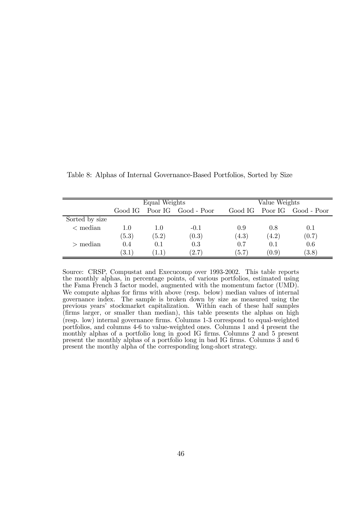|                     |       | Equal Weights      |                             |       | Value Weights |                             |  |  |
|---------------------|-------|--------------------|-----------------------------|-------|---------------|-----------------------------|--|--|
|                     |       |                    | Good IG Poor IG Good - Poor |       |               | Good IG Poor IG Good - Poor |  |  |
| Sorted by size      |       |                    |                             |       |               |                             |  |  |
| $\mathbf{<}$ median | 1.0   | 1.0                | $-0.1$                      | 0.9   | 0.8           | 0.1                         |  |  |
|                     | (5.3) | (5.2)              | (0.3)                       | (4.3) | (4.2)         | (0.7)                       |  |  |
| $\mathbf{p}$ median | 0.4   | 0.1                | 0.3                         | 0.7   | 0.1           | 0.6                         |  |  |
|                     | (3.1) | $\left(1.1\right)$ | (2.7)                       | (5.7) | (0.9)         | (3.8)                       |  |  |

Table 8: Alphas of Internal Governance-Based Portfolios, Sorted by Size

Source: CRSP, Compustat and Execucomp over 1993-2002. This table reports the monthly alphas, in percentage points, of various portfolios, estimated using the Fama French 3 factor model, augmented with the momentum factor (UMD). We compute alphas for firms with above (resp. below) median values of internal governance index. The sample is broken down by size as measured using the previous years' stockmarket capitalization. Within each of these half samples (firms larger, or smaller than median), this table presents the alphas on high (resp. low) internal governance firms. Columns 1-3 correspond to equal-weighted portfolios, and columns 4-6 to value-weighted ones. Columns 1 and 4 present the monthly alphas of a portfolio long in good IG firms. Columns 2 and 5 present present the monthly alphas of a portfolio long in bad IG firms. Columns 3 and 6 present the monthy alpha of the corresponding long-short strategy.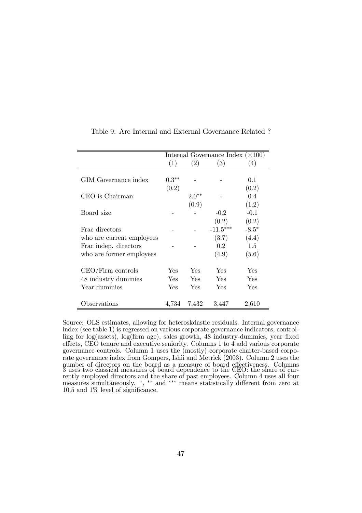|                           | Internal Governance Index $(\times 100)$ |                   |                   |                  |  |  |
|---------------------------|------------------------------------------|-------------------|-------------------|------------------|--|--|
|                           | (1)                                      | $\left( 2\right)$ | $\left( 3\right)$ | $\left(4\right)$ |  |  |
|                           |                                          |                   |                   |                  |  |  |
| GIM Governance index      | $0.3**$                                  |                   |                   | 0.1              |  |  |
|                           | (0.2)                                    |                   |                   | (0.2)            |  |  |
| CEO is Chairman           |                                          | $2.0**$           |                   | 0.4              |  |  |
|                           |                                          | (0.9)             |                   | (1.2)            |  |  |
| Board size                |                                          |                   | $-0.2$            | $-0.1$           |  |  |
|                           |                                          |                   | (0.2)             | (0.2)            |  |  |
| Frac directors            |                                          |                   | $-11.5***$        | $-8.5*$          |  |  |
| who are current employees |                                          |                   | (3.7)             | (4.4)            |  |  |
| Frac indep. directors     |                                          |                   | 0.2               | 1.5              |  |  |
| who are former employees  |                                          |                   | (4.9)             | (5.6)            |  |  |
|                           |                                          |                   |                   |                  |  |  |
| $CEO/Firm$ controls       | Yes                                      | Yes.              | Yes               | Yes              |  |  |
| 48 industry dummies       | Yes                                      | Yes               | Yes               | Yes              |  |  |
| Year dummies              | Yes                                      | Yes               | Yes               | Yes              |  |  |
|                           |                                          |                   |                   |                  |  |  |
| Observations              | 4,734                                    | 7,432             | 3,447             | 2,610            |  |  |

Table 9: Are Internal and External Governance Related ?

Source: OLS estimates, allowing for heteroskdastic residuals. Internal governance index (see table 1) is regressed on various corporate governance indicators, controlling for log(assets), log(firm age), sales growth, 48 industry-dummies, year fixed effects, CEO tenure and executive seniority. Columns 1 to 4 add various corporate governance controls. Column 1 uses the (mostly) corporate charter-based corporate governance index from Gompers, Ishii and Metrick (2003). Column 2 uses the number of directors on the board as a measure of board effectiveness. Columns 3 uses two classical measures of board dependence to the CEO: the share of currently employed directors and the share of past employees. Column 4 uses all four measures simultaneously. ∗, ∗∗ and ∗∗∗ means statistically different from zero at 10,5 and 1% level of significance.